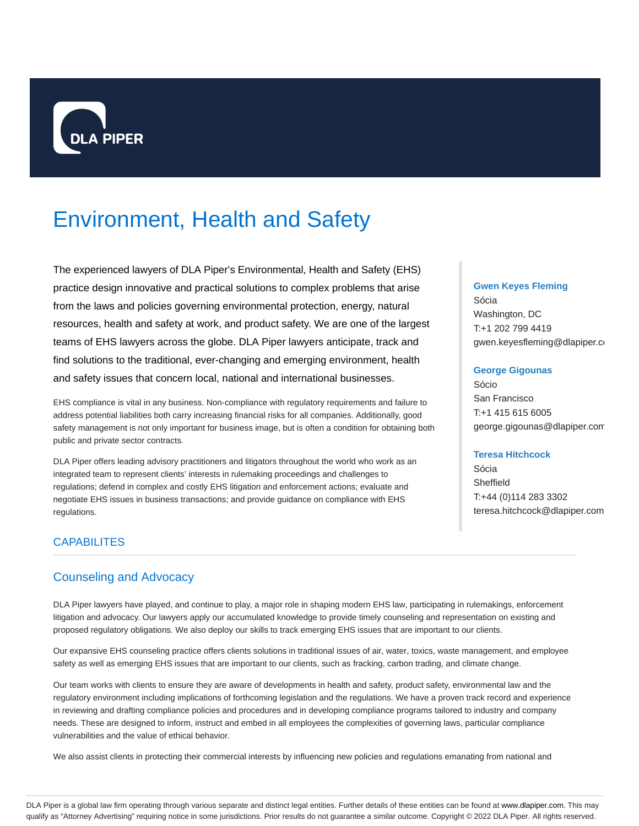

# Environment, Health and Safety

The experienced lawyers of DLA Piper's Environmental, Health and Safety (EHS) practice design innovative and practical solutions to complex problems that arise from the laws and policies governing environmental protection, energy, natural resources, health and safety at work, and product safety. We are one of the largest teams of EHS lawyers across the globe. DLA Piper lawyers anticipate, track and find solutions to the traditional, ever-changing and emerging environment, health and safety issues that concern local, national and international businesses.

EHS compliance is vital in any business. Non-compliance with regulatory requirements and failure to address potential liabilities both carry increasing financial risks for all companies. Additionally, good safety management is not only important for business image, but is often a condition for obtaining both public and private sector contracts.

DLA Piper offers leading advisory practitioners and litigators throughout the world who work as an integrated team to represent clients' interests in rulemaking proceedings and challenges to regulations; defend in complex and costly EHS litigation and enforcement actions; evaluate and negotiate EHS issues in business transactions; and provide guidance on compliance with EHS regulations.

# **CAPABILITES**

# Counseling and Advocacy

DLA Piper lawyers have played, and continue to play, a major role in shaping modern EHS law, participating in rulemakings, enforcement litigation and advocacy. Our lawyers apply our accumulated knowledge to provide timely counseling and representation on existing and proposed regulatory obligations. We also deploy our skills to track emerging EHS issues that are important to our clients.

Our expansive EHS counseling practice offers clients solutions in traditional issues of air, water, toxics, waste management, and employee safety as well as emerging EHS issues that are important to our clients, such as fracking, carbon trading, and climate change.

Our team works with clients to ensure they are aware of developments in health and safety, product safety, environmental law and the regulatory environment including implications of forthcoming legislation and the regulations. We have a proven track record and experience in reviewing and drafting compliance policies and procedures and in developing compliance programs tailored to industry and company needs. These are designed to inform, instruct and embed in all employees the complexities of governing laws, particular compliance vulnerabilities and the value of ethical behavior.

We also assist clients in protecting their commercial interests by influencing new policies and regulations emanating from national and

#### **Gwen Keyes Fleming**

Sócia Washington, DC T:+1 202 799 4419 gwen.keyesfleming@dlapiper.com

#### **George Gigounas**

Sócio San Francisco T:+1 415 615 6005 george.gigounas@dlapiper.com

# **Teresa Hitchcock**

Sócia Sheffield T:+44 (0)114 283 3302 teresa.hitchcock@dlapiper.com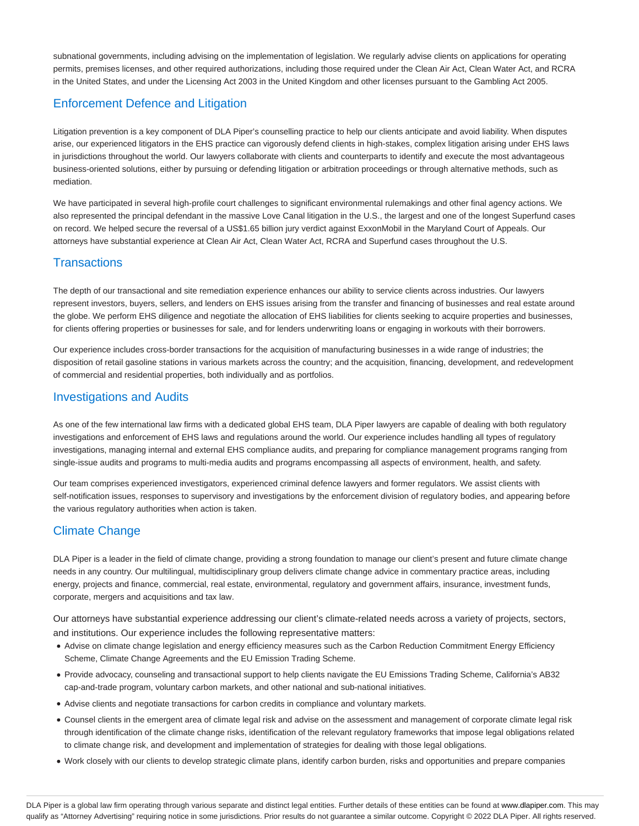subnational governments, including advising on the implementation of legislation. We regularly advise clients on applications for operating permits, premises licenses, and other required authorizations, including those required under the Clean Air Act, Clean Water Act, and RCRA in the United States, and under the Licensing Act 2003 in the United Kingdom and other licenses pursuant to the Gambling Act 2005.

# Enforcement Defence and Litigation

Litigation prevention is a key component of DLA Piper's counselling practice to help our clients anticipate and avoid liability. When disputes arise, our experienced litigators in the EHS practice can vigorously defend clients in high-stakes, complex litigation arising under EHS laws in jurisdictions throughout the world. Our lawyers collaborate with clients and counterparts to identify and execute the most advantageous business-oriented solutions, either by pursuing or defending litigation or arbitration proceedings or through alternative methods, such as mediation.

We have participated in several high-profile court challenges to significant environmental rulemakings and other final agency actions. We also represented the principal defendant in the massive Love Canal litigation in the U.S., the largest and one of the longest Superfund cases on record. We helped secure the reversal of a US\$1.65 billion jury verdict against ExxonMobil in the Maryland Court of Appeals. Our attorneys have substantial experience at Clean Air Act, Clean Water Act, RCRA and Superfund cases throughout the U.S.

# **Transactions**

The depth of our transactional and site remediation experience enhances our ability to service clients across industries. Our lawyers represent investors, buyers, sellers, and lenders on EHS issues arising from the transfer and financing of businesses and real estate around the globe. We perform EHS diligence and negotiate the allocation of EHS liabilities for clients seeking to acquire properties and businesses, for clients offering properties or businesses for sale, and for lenders underwriting loans or engaging in workouts with their borrowers.

Our experience includes cross-border transactions for the acquisition of manufacturing businesses in a wide range of industries; the disposition of retail gasoline stations in various markets across the country; and the acquisition, financing, development, and redevelopment of commercial and residential properties, both individually and as portfolios.

# Investigations and Audits

As one of the few international law firms with a dedicated global EHS team, DLA Piper lawyers are capable of dealing with both regulatory investigations and enforcement of EHS laws and regulations around the world. Our experience includes handling all types of regulatory investigations, managing internal and external EHS compliance audits, and preparing for compliance management programs ranging from single-issue audits and programs to multi-media audits and programs encompassing all aspects of environment, health, and safety.

Our team comprises experienced investigators, experienced criminal defence lawyers and former regulators. We assist clients with self-notification issues, responses to supervisory and investigations by the enforcement division of regulatory bodies, and appearing before the various regulatory authorities when action is taken.

# Climate Change

DLA Piper is a leader in the field of climate change, providing a strong foundation to manage our client's present and future climate change needs in any country. Our multilingual, multidisciplinary group delivers climate change advice in commentary practice areas, including energy, projects and finance, commercial, real estate, environmental, regulatory and government affairs, insurance, investment funds, corporate, mergers and acquisitions and tax law.

Our attorneys have substantial experience addressing our client's climate-related needs across a variety of projects, sectors, and institutions. Our experience includes the following representative matters:

- Advise on climate change legislation and energy efficiency measures such as the Carbon Reduction Commitment Energy Efficiency Scheme, Climate Change Agreements and the EU Emission Trading Scheme.
- Provide advocacy, counseling and transactional support to help clients navigate the EU Emissions Trading Scheme, California's AB32 cap-and-trade program, voluntary carbon markets, and other national and sub-national initiatives.
- Advise clients and negotiate transactions for carbon credits in compliance and voluntary markets.
- Counsel clients in the emergent area of climate legal risk and advise on the assessment and management of corporate climate legal risk through identification of the climate change risks, identification of the relevant regulatory frameworks that impose legal obligations related to climate change risk, and development and implementation of strategies for dealing with those legal obligations.
- Work closely with our clients to develop strategic climate plans, identify carbon burden, risks and opportunities and prepare companies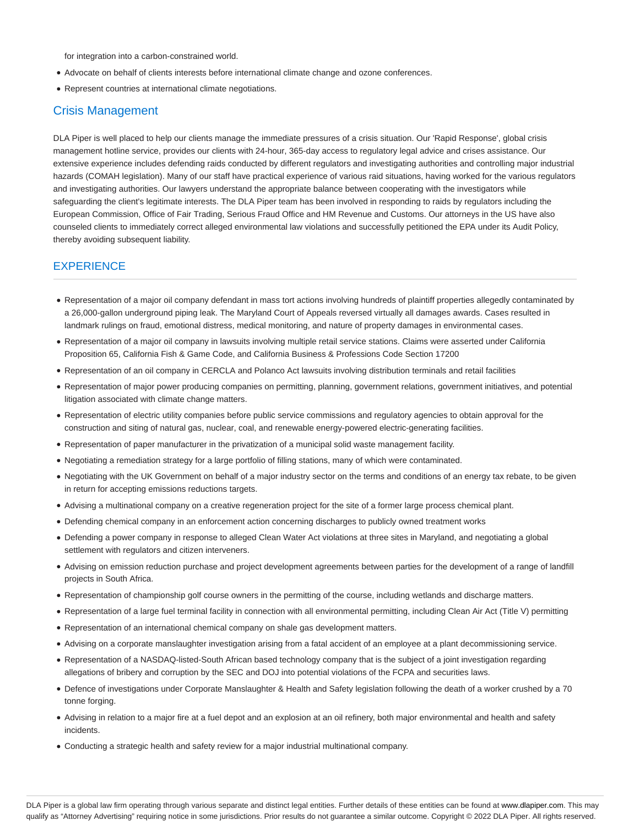for integration into a carbon-constrained world.

- Advocate on behalf of clients interests before international climate change and ozone conferences.
- Represent countries at international climate negotiations.

# Crisis Management

DLA Piper is well placed to help our clients manage the immediate pressures of a crisis situation. Our 'Rapid Response', global crisis management hotline service, provides our clients with 24-hour, 365-day access to regulatory legal advice and crises assistance. Our extensive experience includes defending raids conducted by different regulators and investigating authorities and controlling major industrial hazards (COMAH legislation). Many of our staff have practical experience of various raid situations, having worked for the various regulators and investigating authorities. Our lawyers understand the appropriate balance between cooperating with the investigators while safeguarding the client's legitimate interests. The DLA Piper team has been involved in responding to raids by regulators including the European Commission, Office of Fair Trading, Serious Fraud Office and HM Revenue and Customs. Our attorneys in the US have also counseled clients to immediately correct alleged environmental law violations and successfully petitioned the EPA under its Audit Policy, thereby avoiding subsequent liability.

## EXPERIENCE

- Representation of a major oil company defendant in mass tort actions involving hundreds of plaintiff properties allegedly contaminated by a 26,000-gallon underground piping leak. The Maryland Court of Appeals reversed virtually all damages awards. Cases resulted in landmark rulings on fraud, emotional distress, medical monitoring, and nature of property damages in environmental cases.
- Representation of a major oil company in lawsuits involving multiple retail service stations. Claims were asserted under California Proposition 65, California Fish & Game Code, and California Business & Professions Code Section 17200
- Representation of an oil company in CERCLA and Polanco Act lawsuits involving distribution terminals and retail facilities
- Representation of major power producing companies on permitting, planning, government relations, government initiatives, and potential litigation associated with climate change matters.
- Representation of electric utility companies before public service commissions and regulatory agencies to obtain approval for the construction and siting of natural gas, nuclear, coal, and renewable energy-powered electric-generating facilities.
- Representation of paper manufacturer in the privatization of a municipal solid waste management facility.
- Negotiating a remediation strategy for a large portfolio of filling stations, many of which were contaminated.
- Negotiating with the UK Government on behalf of a major industry sector on the terms and conditions of an energy tax rebate, to be given in return for accepting emissions reductions targets.
- Advising a multinational company on a creative regeneration project for the site of a former large process chemical plant.
- Defending chemical company in an enforcement action concerning discharges to publicly owned treatment works
- Defending a power company in response to alleged Clean Water Act violations at three sites in Maryland, and negotiating a global settlement with regulators and citizen interveners.
- Advising on emission reduction purchase and project development agreements between parties for the development of a range of landfill projects in South Africa.
- Representation of championship golf course owners in the permitting of the course, including wetlands and discharge matters.
- Representation of a large fuel terminal facility in connection with all environmental permitting, including Clean Air Act (Title V) permitting
- Representation of an international chemical company on shale gas development matters.
- Advising on a corporate manslaughter investigation arising from a fatal accident of an employee at a plant decommissioning service.
- Representation of a NASDAQ-listed-South African based technology company that is the subject of a joint investigation regarding allegations of bribery and corruption by the SEC and DOJ into potential violations of the FCPA and securities laws.
- Defence of investigations under Corporate Manslaughter & Health and Safety legislation following the death of a worker crushed by a 70 tonne forging.
- Advising in relation to a major fire at a fuel depot and an explosion at an oil refinery, both major environmental and health and safety incidents.
- Conducting a strategic health and safety review for a major industrial multinational company.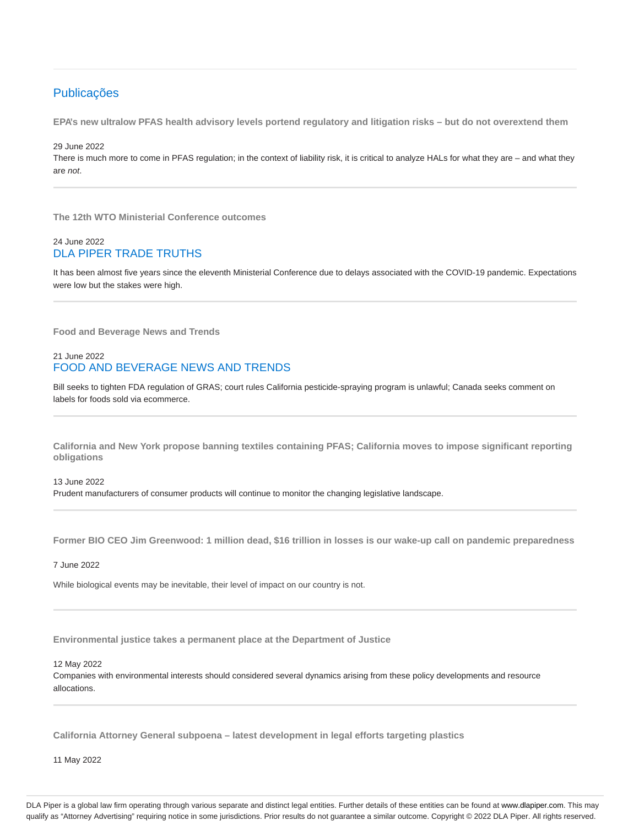# Publicações

**EPA's new ultralow PFAS health advisory levels portend regulatory and litigation risks – but do not overextend them**

29 June 2022

There is much more to come in PFAS regulation; in the context of liability risk, it is critical to analyze HALs for what they are – and what they are not.

**The 12th WTO Ministerial Conference outcomes**

# 24 June 2022 DLA PIPER TRADE TRUTHS

It has been almost five years since the eleventh Ministerial Conference due to delays associated with the COVID-19 pandemic. Expectations were low but the stakes were high.

**Food and Beverage News and Trends**

# 21 June 2022 FOOD AND BEVERAGE NEWS AND TRENDS

Bill seeks to tighten FDA regulation of GRAS; court rules California pesticide-spraying program is unlawful; Canada seeks comment on labels for foods sold via ecommerce.

**California and New York propose banning textiles containing PFAS; California moves to impose significant reporting obligations**

13 June 2022 Prudent manufacturers of consumer products will continue to monitor the changing legislative landscape.

**Former BIO CEO Jim Greenwood: 1 million dead, \$16 trillion in losses is our wake-up call on pandemic preparedness**

#### 7 June 2022

While biological events may be inevitable, their level of impact on our country is not.

**Environmental justice takes a permanent place at the Department of Justice**

12 May 2022

Companies with environmental interests should considered several dynamics arising from these policy developments and resource allocations.

**California Attorney General subpoena – latest development in legal efforts targeting plastics**

11 May 2022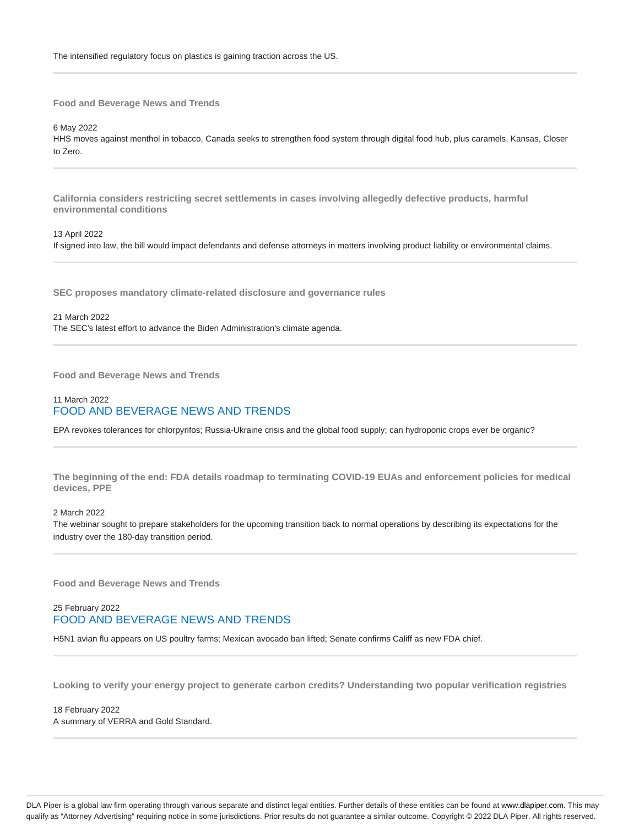The intensified regulatory focus on plastics is gaining traction across the US.

**Food and Beverage News and Trends**

6 May 2022

HHS moves against menthol in tobacco, Canada seeks to strengthen food system through digital food hub, plus caramels, Kansas, Closer to Zero.

**California considers restricting secret settlements in cases involving allegedly defective products, harmful environmental conditions**

#### 13 April 2022

If signed into law, the bill would impact defendants and defense attorneys in matters involving product liability or environmental claims.

**SEC proposes mandatory climate-related disclosure and governance rules**

21 March 2022 The SEC's latest effort to advance the Biden Administration's climate agenda.

**Food and Beverage News and Trends**

## 11 March 2022 FOOD AND BEVERAGE NEWS AND TRENDS

EPA revokes tolerances for chlorpyrifos; Russia-Ukraine crisis and the global food supply; can hydroponic crops ever be organic?

**The beginning of the end: FDA details roadmap to terminating COVID-19 EUAs and enforcement policies for medical devices, PPE**

#### 2 March 2022

The webinar sought to prepare stakeholders for the upcoming transition back to normal operations by describing its expectations for the industry over the 180-day transition period.

**Food and Beverage News and Trends**

# 25 February 2022 FOOD AND BEVERAGE NEWS AND TRENDS

H5N1 avian flu appears on US poultry farms; Mexican avocado ban lifted; Senate confirms Califf as new FDA chief.

**Looking to verify your energy project to generate carbon credits? Understanding two popular verification registries**

18 February 2022 A summary of VERRA and Gold Standard.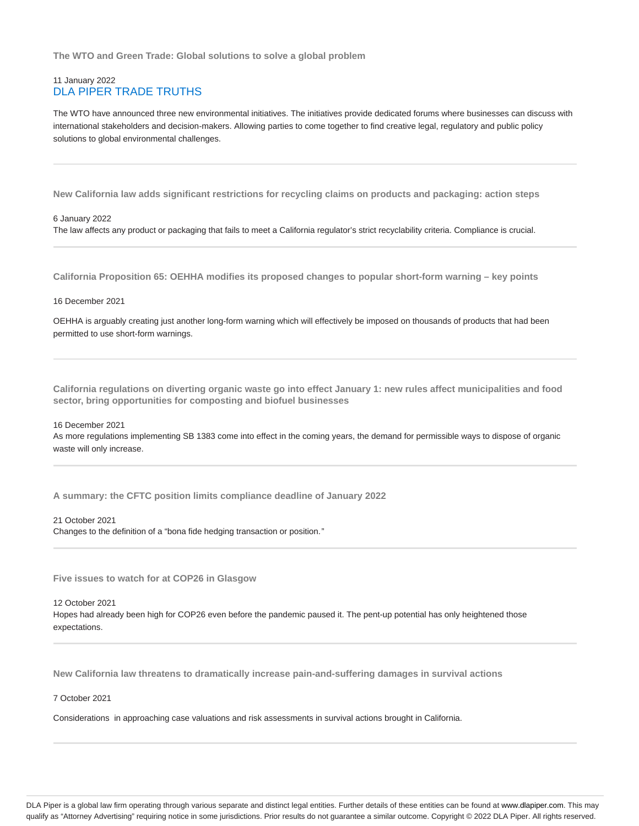**The WTO and Green Trade: Global solutions to solve a global problem**

## 11 January 2022 DLA PIPER TRADE TRUTHS

The WTO have announced three new environmental initiatives. The initiatives provide dedicated forums where businesses can discuss with international stakeholders and decision-makers. Allowing parties to come together to find creative legal, regulatory and public policy solutions to global environmental challenges.

**New California law adds significant restrictions for recycling claims on products and packaging: action steps**

#### 6 January 2022

The law affects any product or packaging that fails to meet a California regulator's strict recyclability criteria. Compliance is crucial.

**California Proposition 65: OEHHA modifies its proposed changes to popular short-form warning – key points**

#### 16 December 2021

OEHHA is arguably creating just another long-form warning which will effectively be imposed on thousands of products that had been permitted to use short-form warnings.

**California regulations on diverting organic waste go into effect January 1: new rules affect municipalities and food sector, bring opportunities for composting and biofuel businesses**

#### 16 December 2021

As more regulations implementing SB 1383 come into effect in the coming years, the demand for permissible ways to dispose of organic waste will only increase.

**A summary: the CFTC position limits compliance deadline of January 2022**

#### 21 October 2021

Changes to the definition of a "bona fide hedging transaction or position."

**Five issues to watch for at COP26 in Glasgow**

12 October 2021 Hopes had already been high for COP26 even before the pandemic paused it. The pent-up potential has only heightened those expectations.

**New California law threatens to dramatically increase pain-and-suffering damages in survival actions**

7 October 2021

Considerations in approaching case valuations and risk assessments in survival actions brought in California.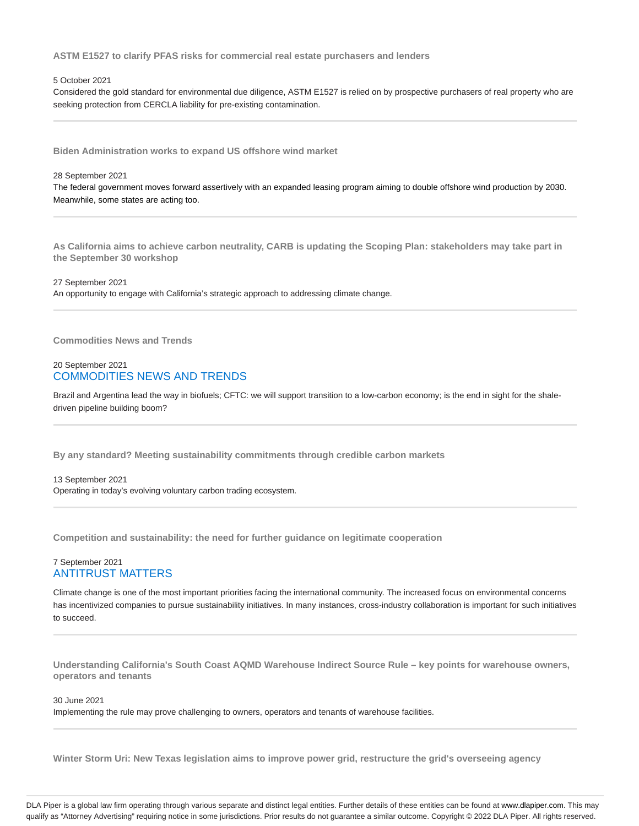**ASTM E1527 to clarify PFAS risks for commercial real estate purchasers and lenders**

#### 5 October 2021

Considered the gold standard for environmental due diligence, ASTM E1527 is relied on by prospective purchasers of real property who are seeking protection from CERCLA liability for pre-existing contamination.

**Biden Administration works to expand US offshore wind market**

#### 28 September 2021

The federal government moves forward assertively with an expanded leasing program aiming to double offshore wind production by 2030. Meanwhile, some states are acting too.

**As California aims to achieve carbon neutrality, CARB is updating the Scoping Plan: stakeholders may take part in the September 30 workshop**

27 September 2021

An opportunity to engage with California's strategic approach to addressing climate change.

**Commodities News and Trends**

## 20 September 2021 COMMODITIES NEWS AND TRENDS

Brazil and Argentina lead the way in biofuels; CFTC: we will support transition to a low-carbon economy; is the end in sight for the shaledriven pipeline building boom?

**By any standard? Meeting sustainability commitments through credible carbon markets**

13 September 2021 Operating in today's evolving voluntary carbon trading ecosystem.

**Competition and sustainability: the need for further guidance on legitimate cooperation**

## 7 September 2021 ANTITRUST MATTERS

Climate change is one of the most important priorities facing the international community. The increased focus on environmental concerns has incentivized companies to pursue sustainability initiatives. In many instances, cross-industry collaboration is important for such initiatives to succeed.

**Understanding California's South Coast AQMD Warehouse Indirect Source Rule – key points for warehouse owners, operators and tenants**

30 June 2021

Implementing the rule may prove challenging to owners, operators and tenants of warehouse facilities.

**Winter Storm Uri: New Texas legislation aims to improve power grid, restructure the grid's overseeing agency**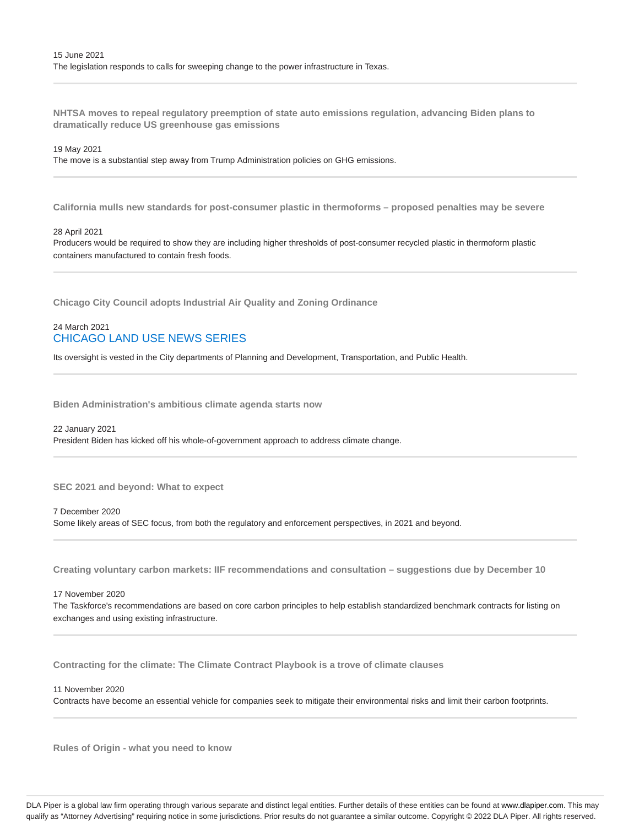**NHTSA moves to repeal regulatory preemption of state auto emissions regulation, advancing Biden plans to dramatically reduce US greenhouse gas emissions**

#### 19 May 2021

The move is a substantial step away from Trump Administration policies on GHG emissions.

**California mulls new standards for post-consumer plastic in thermoforms – proposed penalties may be severe**

#### 28 April 2021

Producers would be required to show they are including higher thresholds of post-consumer recycled plastic in thermoform plastic containers manufactured to contain fresh foods.

**Chicago City Council adopts Industrial Air Quality and Zoning Ordinance**

# 24 March 2021 CHICAGO LAND USE NEWS SERIES

Its oversight is vested in the City departments of Planning and Development, Transportation, and Public Health.

**Biden Administration's ambitious climate agenda starts now**

22 January 2021

President Biden has kicked off his whole-of-government approach to address climate change.

**SEC 2021 and beyond: What to expect**

7 December 2020 Some likely areas of SEC focus, from both the regulatory and enforcement perspectives, in 2021 and beyond.

**Creating voluntary carbon markets: IIF recommendations and consultation – suggestions due by December 10**

17 November 2020 The Taskforce's recommendations are based on core carbon principles to help establish standardized benchmark contracts for listing on exchanges and using existing infrastructure.

**Contracting for the climate: The Climate Contract Playbook is a trove of climate clauses**

11 November 2020

Contracts have become an essential vehicle for companies seek to mitigate their environmental risks and limit their carbon footprints.

**Rules of Origin - what you need to know**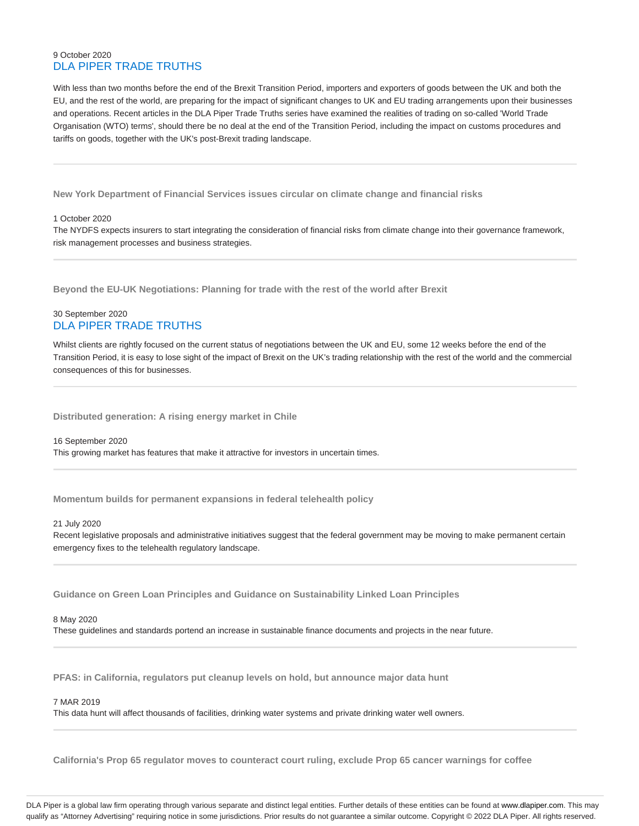# 9 October 2020 DLA PIPER TRADE TRUTHS

With less than two months before the end of the Brexit Transition Period, importers and exporters of goods between the UK and both the EU, and the rest of the world, are preparing for the impact of significant changes to UK and EU trading arrangements upon their businesses and operations. Recent articles in the DLA Piper Trade Truths series have examined the realities of trading on so-called 'World Trade Organisation (WTO) terms', should there be no deal at the end of the Transition Period, including the impact on customs procedures and tariffs on goods, together with the UK's post-Brexit trading landscape.

**New York Department of Financial Services issues circular on climate change and financial risks**

1 October 2020

The NYDFS expects insurers to start integrating the consideration of financial risks from climate change into their governance framework, risk management processes and business strategies.

**Beyond the EU-UK Negotiations: Planning for trade with the rest of the world after Brexit**

# 30 September 2020 DLA PIPER TRADE TRUTHS

Whilst clients are rightly focused on the current status of negotiations between the UK and EU, some 12 weeks before the end of the Transition Period, it is easy to lose sight of the impact of Brexit on the UK's trading relationship with the rest of the world and the commercial consequences of this for businesses.

**Distributed generation: A rising energy market in Chile**

16 September 2020 This growing market has features that make it attractive for investors in uncertain times.

**Momentum builds for permanent expansions in federal telehealth policy**

#### 21 July 2020

Recent legislative proposals and administrative initiatives suggest that the federal government may be moving to make permanent certain emergency fixes to the telehealth regulatory landscape.

**Guidance on Green Loan Principles and Guidance on Sustainability Linked Loan Principles**

#### 8 May 2020

These guidelines and standards portend an increase in sustainable finance documents and projects in the near future.

**PFAS: in California, regulators put cleanup levels on hold, but announce major data hunt**

#### 7 MAR 2019

This data hunt will affect thousands of facilities, drinking water systems and private drinking water well owners.

**California's Prop 65 regulator moves to counteract court ruling, exclude Prop 65 cancer warnings for coffee**